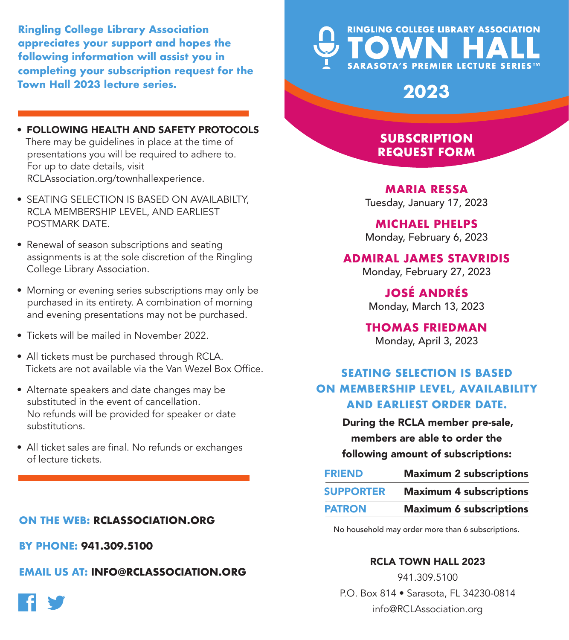**Ringling College Library Association appreciates your support and hopes the following information will assist you in completing your subscription request for the Town Hall 2023 lecture series.**

- FOLLOWING HEALTH AND SAFETY PROTOCOLS There may be guidelines in place at the time of presentations you will be required to adhere to. For up to date details, visit RCLAssociation.org/townhallexperience.
- SEATING SELECTION IS BASED ON AVAILABILTY, RCLA MEMBERSHIP LEVEL, AND EARLIEST POSTMARK DATE.
- Renewal of season subscriptions and seating assignments is at the sole discretion of the Ringling College Library Association.
- Morning or evening series subscriptions may only be purchased in its entirety. A combination of morning and evening presentations may not be purchased.
- Tickets will be mailed in November 2022.
- All tickets must be purchased through RCLA. Tickets are not available via the Van Wezel Box Office.
- Alternate speakers and date changes may be substituted in the event of cancellation. No refunds will be provided for speaker or date substitutions.
- All ticket sales are final. No refunds or exchanges of lecture tickets.

### **ON THE WEB: RCLASSOCIATION.ORG**

**BY PHONE: 941.309.5100**

**EMAIL US AT: INFO@RCLASSOCIATION.ORG**



# **RINGLING COLLEGE LIBRARY ASSOCIATION SARASOTA'S PREMIER LECTURE SERIES™**

**2023**

## **SUBSCRIPTION REQUEST FORM**

**MARIA RESSA** Tuesday, January 17, 2023

**MICHAEL PHELPS**

Monday, February 6, 2023

#### **ADMIRAL JAMES STAVRIDIS**

Monday, February 27, 2023

**JOSÉ ANDRÉS** Monday, March 13, 2023

**THOMAS FRIEDMAN** Monday, April 3, 2023

## **SEATING SELECTION IS BASED ON MEMBERSHIP LEVEL, AVAILABILITY AND EARLIEST ORDER DATE.**

During the RCLA member pre-sale, members are able to order the following amount of subscriptions:

| <b>FRIEND</b>    | <b>Maximum 2 subscriptions</b> |
|------------------|--------------------------------|
| <b>SUPPORTER</b> | <b>Maximum 4 subscriptions</b> |
| <b>PATRON</b>    | <b>Maximum 6 subscriptions</b> |

No household may order more than 6 subscriptions.

#### RCLA TOWN HALL 2023

941.309.5100 P.O. Box 814 • Sarasota, FL 34230-0814 info@RCLAssociation.org